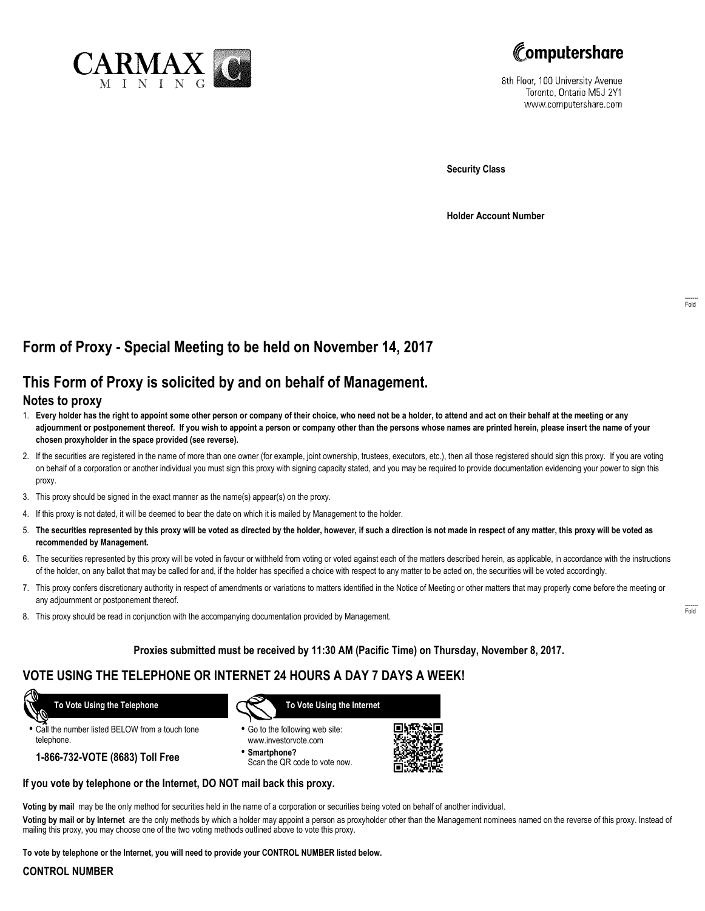



8th Floor, 100 University Avenue Toronto, Ontario M5J 2Y1 www.computershare.com

**Security Class**

**Holder Account Number**

# **Form of Proxy - Special Meeting to be held on November 14, 2017**

# **This Form of Proxy is solicited by and on behalf of Management.**

### **Notes to proxy**

- 1. **Every holder has the right to appoint some other person or company of their choice, who need not be a holder, to attend and act on their behalf at the meeting or any adjournment or postponement thereof. If you wish to appoint a person or company other than the persons whose names are printed herein, please insert the name of your chosen proxyholder in the space provided (see reverse).**
- 2. If the securities are registered in the name of more than one owner (for example, joint ownership, trustees, executors, etc.), then all those registered should sign this proxy. If you are voting on behalf of a corporation or another individual you must sign this proxy with signing capacity stated, and you may be required to provide documentation evidencing your power to sign this proxy.
- 3. This proxy should be signed in the exact manner as the name(s) appear(s) on the proxy.
- 4. If this proxy is not dated, it will be deemed to bear the date on which it is mailed by Management to the holder.
- 5. **The securities represented by this proxy will be voted as directed by the holder, however, if such a direction is not made in respect of any matter, this proxy will be voted as recommended by Management.**
- 6. The securities represented by this proxy will be voted in favour or withheld from voting or voted against each of the matters described herein, as applicable, in accordance with the instructions of the holder, on any ballot that may be called for and, if the holder has specified a choice with respect to any matter to be acted on, the securities will be voted accordingly.
- 7. This proxy confers discretionary authority in respect of amendments or variations to matters identified in the Notice of Meeting or other matters that may properly come before the meeting or any adjournment or postponement thereof.
- 8. This proxy should be read in conjunction with the accompanying documentation provided by Management.

### **Proxies submitted must be received by 11:30 AM (Pacific Time) on Thursday, November 8, 2017.**

# **VOTE USING THE TELEPHONE OR INTERNET 24 HOURS A DAY 7 DAYS A WEEK!**

 **To Vote Using the Telephone**

**•** Call the number listed BELOW from a touch tone telephone.

**1-866-732-VOTE (8683) Toll Free**



- **•** Go to the following web site: www.investorvote.com
- **• Smartphone?** Scan the QR code to vote now.



### **If you vote by telephone or the Internet, DO NOT mail back this proxy.**

**Voting by mail** may be the only method for securities held in the name of a corporation or securities being voted on behalf of another individual.

**Voting by mail or by Internet** are the only methods by which a holder may appoint a person as proxyholder other than the Management nominees named on the reverse of this proxy. Instead of mailing this proxy, you may choose one of the two voting methods outlined above to vote this proxy.

**To vote by telephone or the Internet, you will need to provide your CONTROL NUMBER listed below.**

#### **CONTROL NUMBER**